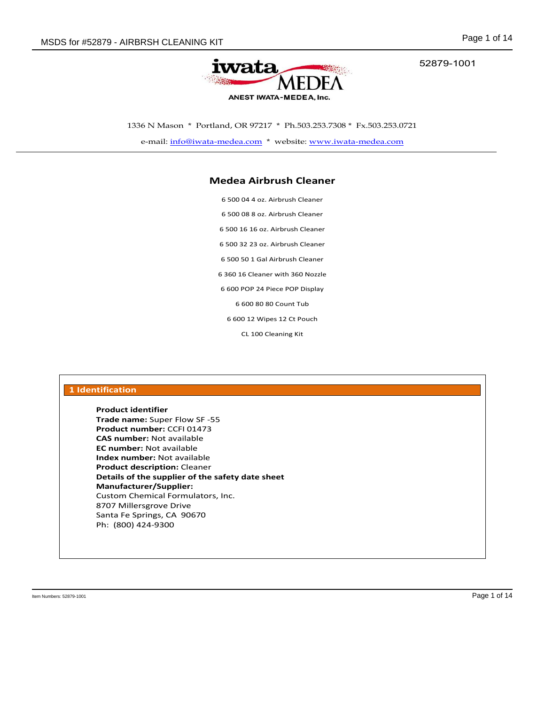52879-1001



1336 N Mason \* Portland, OR 97217 \* Ph.503.253.7308 \* Fx.503.253.0721

e-mail: info@iwata-medea.com \* website: www.iwata-medea.com

#### **Medea Airbrush Cleaner**

6 500 04 4 oz. Airbrush Cleaner 6 500 08 8 oz. Airbrush Cleaner 6 500 16 16 oz. Airbrush Cleaner 6 500 32 23 oz. Airbrush Cleaner 6 500 50 1 Gal Airbrush Cleaner 6 360 16 Cleaner with 360 Nozzle 6 600 POP 24 Piece POP Display 6 600 80 80 Count Tub 6 600 12 Wipes 12 Ct Pouch

CL 100 Cleaning Kit

| <b>Product identifier</b> |                                                  |  |  |
|---------------------------|--------------------------------------------------|--|--|
|                           | <b>Trade name: Super Flow SF-55</b>              |  |  |
|                           | Product number: CCFI 01473                       |  |  |
|                           | <b>CAS number: Not available</b>                 |  |  |
|                           | <b>EC number:</b> Not available                  |  |  |
|                           | <b>Index number:</b> Not available               |  |  |
|                           | <b>Product description: Cleaner</b>              |  |  |
|                           | Details of the supplier of the safety date sheet |  |  |
|                           | <b>Manufacturer/Supplier:</b>                    |  |  |
|                           | Custom Chemical Formulators, Inc.                |  |  |
|                           | 8707 Millersgrove Drive                          |  |  |
|                           | Santa Fe Springs, CA 90670                       |  |  |
| Ph: (800) 424-9300        |                                                  |  |  |

Item Numbers: 52879-1001 Page 1 of 14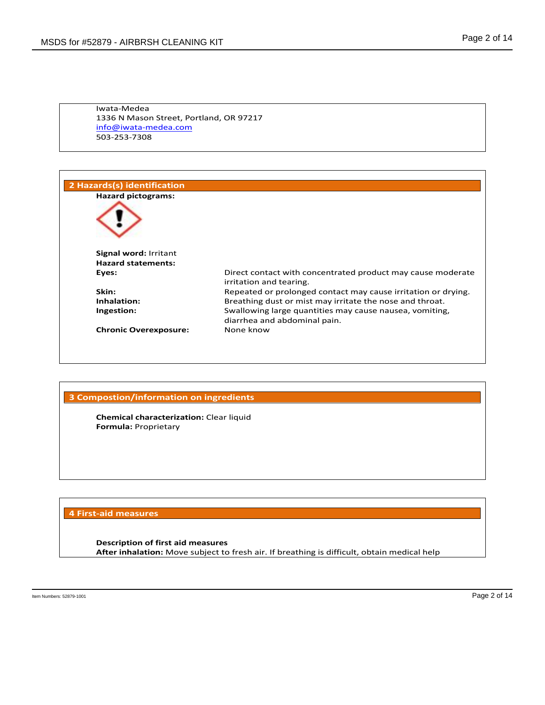Iwata-Medea 1336 N Mason Street, Portland, OR 97217 info@iwata-medea.com 503-253-7308

| 2 Hazards(s) identification                        |                                                                                         |
|----------------------------------------------------|-----------------------------------------------------------------------------------------|
| <b>Hazard pictograms:</b>                          |                                                                                         |
|                                                    |                                                                                         |
| Signal word: Irritant<br><b>Hazard statements:</b> |                                                                                         |
| Eyes:                                              | Direct contact with concentrated product may cause moderate<br>irritation and tearing.  |
| Skin:                                              | Repeated or prolonged contact may cause irritation or drying.                           |
| Inhalation:                                        | Breathing dust or mist may irritate the nose and throat.                                |
| Ingestion:                                         | Swallowing large quantities may cause nausea, vomiting,<br>diarrhea and abdominal pain. |
| <b>Chronic Overexposure:</b>                       | None know                                                                               |
|                                                    |                                                                                         |

#### **3 Compostion/information on ingredients**

**Chemical characterization:** Clear liquid **Formula:** Proprietary

#### **4 First-aid measures**

**Description of first aid measures After inhalation:** Move subject to fresh air. If breathing is difficult, obtain medical help

Item Numbers: 52879-1001 Page 2 of 14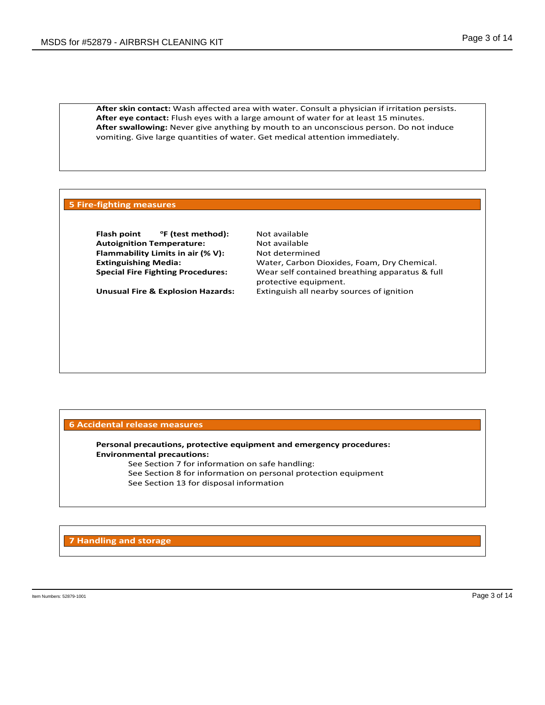**After skin contact:** Wash affected area with water. Consult a physician if irritation persists. **After eye contact:** Flush eyes with a large amount of water for at least 15 minutes. **After swallowing:** Never give anything by mouth to an unconscious person. Do not induce vomiting. Give large quantities of water. Get medical attention immediately.

#### **5 Fire-fighting measures**

**Flash point <sup>o</sup>F (test method):** Not available **Autoignition Temperature:** Not available **Flammability Limits in air (% V):** Not determined

**Extinguishing Media:** Water, Carbon Dioxides, Foam, Dry Chemical. **Special Fire Fighting Procedures:** Wear self contained breathing apparatus & full protective equipment. **Unusual Fire & Explosion Hazards:** Extinguish all nearby sources of ignition

#### **6 Accidental release measures**

**Personal precautions, protective equipment and emergency procedures: Environmental precautions:**

See Section 7 for information on safe handling: See Section 8 for information on personal protection equipment See Section 13 for disposal information

**7 Handling and storage**

Item Numbers: 52879-1001 Page 3 of 14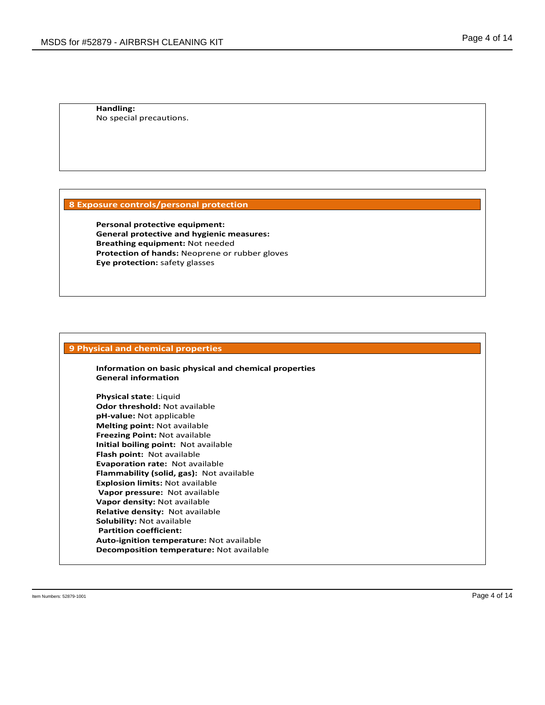**Handling:** No special precautions.

#### **8 Exposure controls/personal protection**

**Personal protective equipment: General protective and hygienic measures: Breathing equipment:** Not needed **Protection of hands:** Neoprene or rubber gloves **Eye protection:** safety glasses

#### **9 Physical and chemical properties**

**Information on basic physical and chemical properties General information**

**Physical state**: Liquid **Odor threshold:** Not available **pH-value:** Not applicable **Melting point:** Not available **Freezing Point:** Not available **Initial boiling point:** Not available **Flash point:** Not available **Evaporation rate:** Not available **Flammability (solid, gas):** Not available **Explosion limits:** Not available **Vapor pressure:** Not available **Vapor density:** Not available **Relative density:** Not available **Solubility:** Not available **Partition coefficient: Auto-ignition temperature:** Not available **Decomposition temperature:** Not available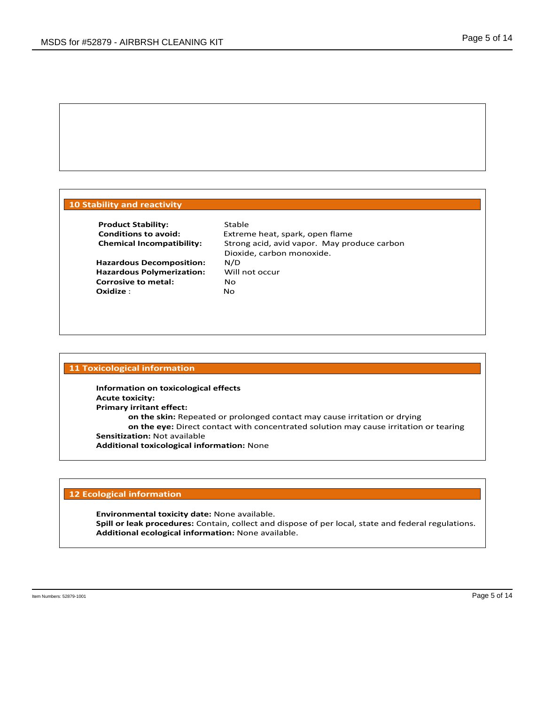#### **10 Stability and reactivity**

**Product Stability:** Stable<br> **Conditions to avoid:** Extrem

**Hazardous Decomposition:** N/D **Hazardous Polymerization:** Will not occur **Corrosive to metal:** No **Oxidize** : No

Extreme heat, spark, open flame **Chemical Incompatibility:** Strong acid, avid vapor. May produce carbon Dioxide, carbon monoxide.

#### **11 Toxicological information**

**Information on toxicological effects Acute toxicity: Primary irritant effect: on the skin:** Repeated or prolonged contact may cause irritation or drying **on the eye:** Direct contact with concentrated solution may cause irritation or tearing **Sensitization:** Not available **Additional toxicological information:** None

#### **12 Ecological information**

**Environmental toxicity date:** None available. **Spill or leak procedures:** Contain, collect and dispose of per local, state and federal regulations. **Additional ecological information:** None available.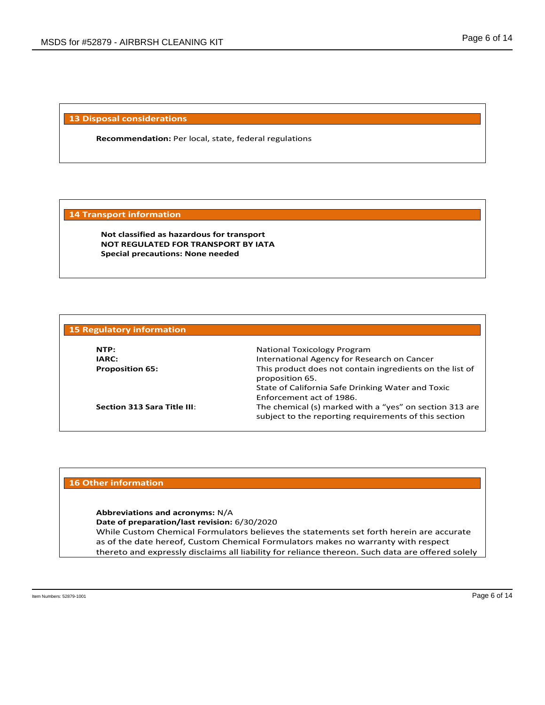**13 Disposal considerations**

**Recommendation:** Per local, state, federal regulations

#### **14 Transport information**

**Not classified as hazardous for transport NOT REGULATED FOR TRANSPORT BY IATA Special precautions: None needed** 

| <b>15 Regulatory information</b> |                                                                                                                  |
|----------------------------------|------------------------------------------------------------------------------------------------------------------|
| NTP:                             | National Toxicology Program                                                                                      |
| IARC:                            | International Agency for Research on Cancer                                                                      |
| <b>Proposition 65:</b>           | This product does not contain ingredients on the list of<br>proposition 65.                                      |
|                                  | State of California Safe Drinking Water and Toxic                                                                |
|                                  | Enforcement act of 1986.                                                                                         |
| Section 313 Sara Title III:      | The chemical (s) marked with a "yes" on section 313 are<br>subject to the reporting requirements of this section |

#### **16 Other information**

**Abbreviations and acronyms:** N/A

**Date of preparation/last revision:** 6/30/2020

While Custom Chemical Formulators believes the statements set forth herein are accurate as of the date hereof, Custom Chemical Formulators makes no warranty with respect thereto and expressly disclaims all liability for reliance thereon. Such data are offered solely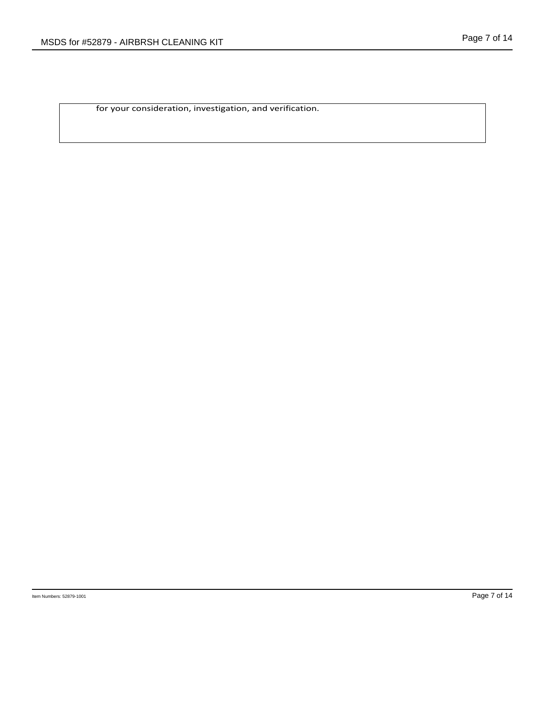for your consideration, investigation, and verification.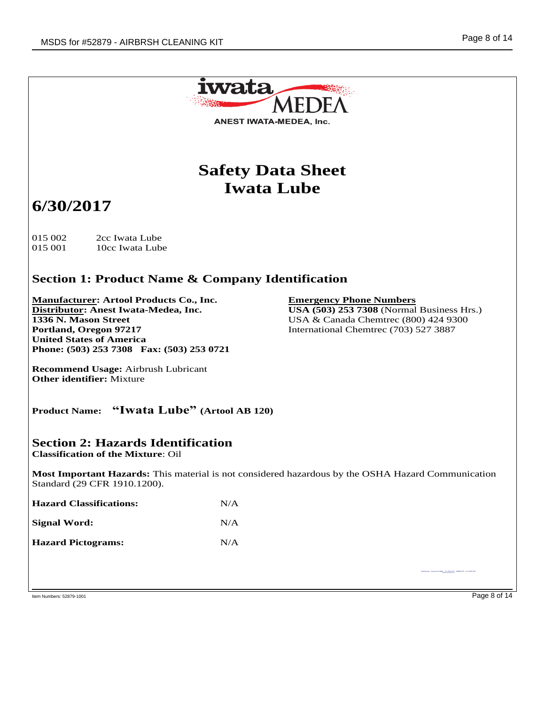

Item Numbers: 52879-1001 Page 8 of 14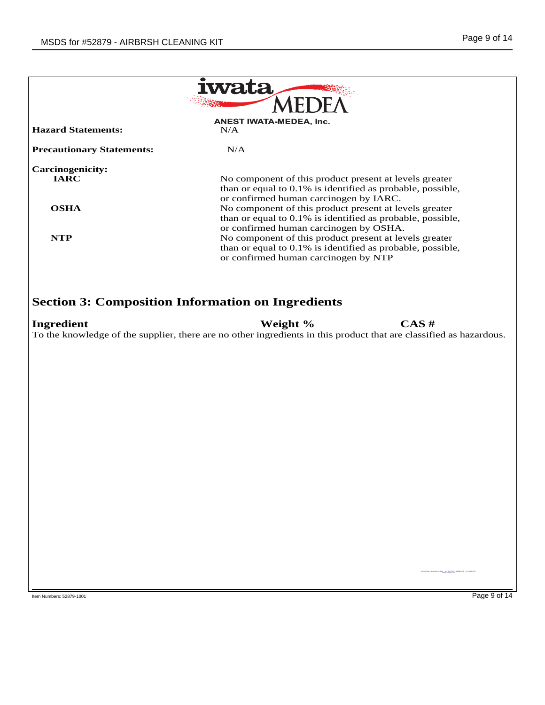|                                        | iwata                                                                                                                                                          |
|----------------------------------------|----------------------------------------------------------------------------------------------------------------------------------------------------------------|
|                                        |                                                                                                                                                                |
| <b>Hazard Statements:</b>              | <b>ANEST IWATA-MEDEA, Inc.</b><br>N/A                                                                                                                          |
|                                        |                                                                                                                                                                |
| <b>Precautionary Statements:</b>       | N/A                                                                                                                                                            |
| <b>Carcinogenicity:</b><br><b>IARC</b> | No component of this product present at levels greater<br>than or equal to 0.1% is identified as probable, possible,<br>or confirmed human carcinogen by IARC. |
| <b>OSHA</b>                            | No component of this product present at levels greater<br>than or equal to 0.1% is identified as probable, possible,<br>or confirmed human carcinogen by OSHA. |
| <b>NTP</b>                             | No component of this product present at levels greater<br>than or equal to 0.1% is identified as probable, possible,<br>or confirmed human carcinogen by NTP   |
| <b>Ingredient</b>                      | <b>Section 3: Composition Information on Ingredients</b><br>Weight %<br>CAS#                                                                                   |
|                                        | To the knowledge of the supplier, there are no other ingredients in this product that are classified as hazardous.                                             |
|                                        |                                                                                                                                                                |
|                                        |                                                                                                                                                                |
|                                        |                                                                                                                                                                |
|                                        |                                                                                                                                                                |
|                                        |                                                                                                                                                                |
|                                        | Middlebook - Bank Ren, EA 98890, - 34 314 873 7071 - 888 880 077                                                                                               |
| Item Numbers: 52879-1001               | Page 9 of 14                                                                                                                                                   |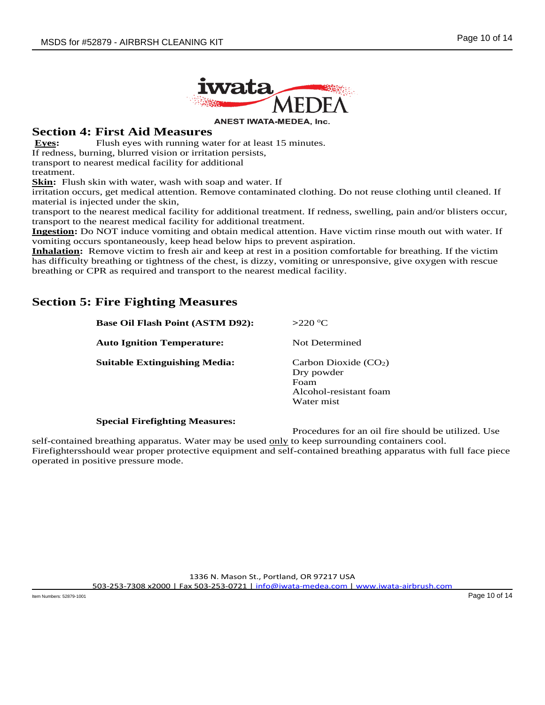

#### **Section 4: First Aid Measures**

**Eyes:** Flush eyes with running water for at least 15 minutes.

If redness, burning, blurred vision or irritation persists,

transport to nearest medical facility for additional

treatment.

**Skin:** Flush skin with water, wash with soap and water. If

irritation occurs, get medical attention. Remove contaminated clothing. Do not reuse clothing until cleaned. If material is injected under the skin,

transport to the nearest medical facility for additional treatment. If redness, swelling, pain and/or blisters occur, transport to the nearest medical facility for additional treatment.

**Ingestion:** Do NOT induce vomiting and obtain medical attention. Have victim rinse mouth out with water. If vomiting occurs spontaneously, keep head below hips to prevent aspiration.

**Inhalation:** Remove victim to fresh air and keep at rest in a position comfortable for breathing. If the victim has difficulty breathing or tightness of the chest, is dizzy, vomiting or unresponsive, give oxygen with rescue breathing or CPR as required and transport to the nearest medical facility.

# **Section 5: Fire Fighting Measures**

| <b>Base Oil Flash Point (ASTM D92):</b> | $>220$ °C                                                                            |
|-----------------------------------------|--------------------------------------------------------------------------------------|
| <b>Auto Ignition Temperature:</b>       | Not Determined                                                                       |
| Suitable Extinguishing Media:           | Carbon Dioxide $(CO2)$<br>Dry powder<br>Foam<br>Alcohol-resistant foam<br>Water mist |

#### **Special Firefighting Measures:**

Procedures for an oil fire should be utilized. Use

self-contained breathing apparatus. Water may be used only to keep surrounding containers cool. Firefightersshould wear proper protective equipment and self-contained breathing apparatus with full face piece operated in positive pressure mode.

> 1336 N. Mason St., Portland, OR 97217 USA 503-253-7308 x2000 | Fax 503-253-0721 | info@iwata-medea.com | www.iwata-airbrush.com

Item Numbers: 52879-1001 Page 10 of 14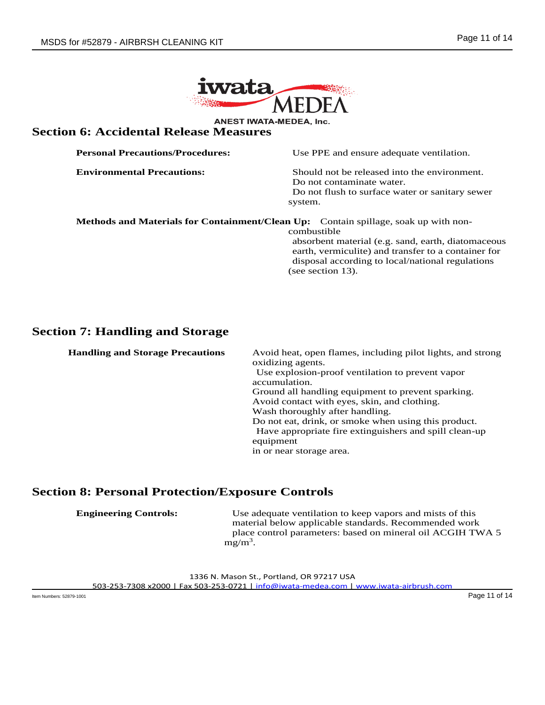

# **Section 6: Accidental Release Measures**<br>**Section 6: Accidental Release Measures**

| <b>Personal Precautions/Procedures:</b> | Use PPE and ensure adequate ventilation.                                            |
|-----------------------------------------|-------------------------------------------------------------------------------------|
| <b>Environmental Precautions:</b>       | Should not be released into the environment.                                        |
|                                         | Do not contaminate water.                                                           |
|                                         | Do not flush to surface water or sanitary sewer                                     |
|                                         | system.                                                                             |
|                                         | Methods and Materials for Containment/Clean Up: Contain spillage, soak up with non- |

combustible

absorbent material (e.g. sand, earth, diatomaceous earth, vermiculite) and transfer to a container for disposal according to local/national regulations (see section 13).

## **Section 7: Handling and Storage**

**Handling and Storage Precautions** Avoid heat, open flames, including pilot lights, and strong oxidizing agents. Use explosion-proof ventilation to prevent vapor accumulation. Ground all handling equipment to prevent sparking. Avoid contact with eyes, skin, and clothing. Wash thoroughly after handling. Do not eat, drink, or smoke when using this product. Have appropriate fire extinguishers and spill clean-up equipment in or near storage area.

# **Section 8: Personal Protection/Exposure Controls**

| <b>Engineering Controls:</b> | Use adequate ventilation to keep vapors and mists of this  |
|------------------------------|------------------------------------------------------------|
|                              | material below applicable standards. Recommended work      |
|                              | place control parameters: based on mineral oil ACGIH TWA 5 |
|                              | $mg/m^3$ .                                                 |

1336 N. Mason St., Portland, OR 97217 USA

503-253-7308 x2000 | Fax 503-253-0721 | info@iwata-medea.com | www.iwata-airbrush.com

Item Numbers: 52879-1001 Page 11 of 14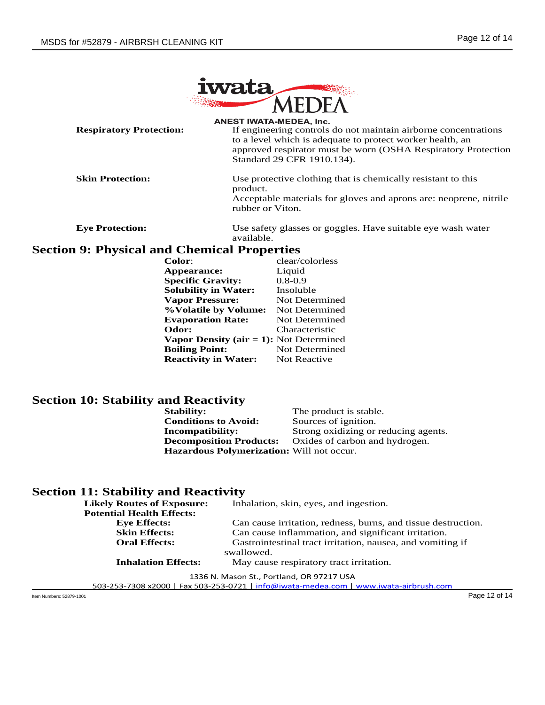

**Respiratory Protection:** ANEST IWATA-MEDEA, Inc.<br>If engineering controls do not maintain airborne concentrations to a level which is adequate to protect worker health, an approved respirator must be worn (OSHA Respiratory Protection Standard 29 CFR 1910.134).

**Skin Protection:** Use protective clothing that is chemically resistant to this product. Acceptable materials for gloves and aprons are: neoprene, nitrile rubber or Viton.

**Eye Protection:** Use safety glasses or goggles. Have suitable eye wash water available.

## **Section 9: Physical and Chemical Properties**

| <b>Color:</b>                                  | clear/colorless |
|------------------------------------------------|-----------------|
| Appearance:                                    | Liquid          |
| <b>Specific Gravity:</b>                       | $0.8 - 0.9$     |
| <b>Solubility in Water:</b>                    | Insoluble       |
| <b>Vapor Pressure:</b>                         | Not Determined  |
| %Volatile by Volume:                           | Not Determined  |
| <b>Evaporation Rate:</b>                       | Not Determined  |
| Odor:                                          | Characteristic  |
| <b>Vapor Density (air = 1):</b> Not Determined |                 |
| <b>Boiling Point:</b>                          | Not Determined  |
| <b>Reactivity in Water:</b>                    | Not Reactive    |
|                                                |                 |

# **Section 10: Stability and Reactivity**<br> **Stability:**

The product is stable. **Conditions to Avoid:** Sources of ignition. **Incompatibility:** Strong oxidizing or reducing agents. **Decomposition Products:** Oxides of carbon and hydrogen. **Hazardous Polymerization:** Will not occur.

### **Section 11: Stability and Reactivity**

| <b>Likely Routes of Exposure:</b> | Inhalation, skin, eyes, and ingestion.                        |
|-----------------------------------|---------------------------------------------------------------|
| <b>Potential Health Effects:</b>  |                                                               |
| <b>Eve Effects:</b>               | Can cause irritation, redness, burns, and tissue destruction. |
| <b>Skin Effects:</b>              | Can cause inflammation, and significant irritation.           |
| <b>Oral Effects:</b>              | Gastrointestinal tract irritation, nausea, and vomiting if    |
|                                   | swallowed.                                                    |
| <b>Inhalation Effects:</b>        | May cause respiratory tract irritation.                       |
|                                   |                                                               |

1336 N. Mason St., Portland, OR 97217 USA

503-253-7308 x2000 | Fax 503-253-0721 | info@iwata-medea.com | www.iwata-airbrush.com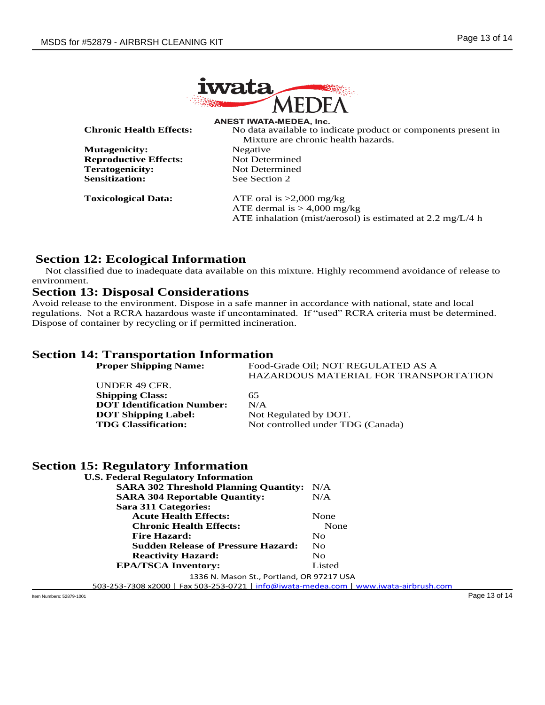

**Chronic Health Effects:** ANEST IWATA-MEDEA, Inc.<br>No data available to indicate product or components present in

**Mutagenicity:** Negative **Reproductive Effects:** Not Determined **Teratogenicity:** Not Determined **Sensitization:** See Section 2

Mixture are chronic health hazards.

**Toxicological Data:** ATE oral is >2,000 mg/kg ATE dermal is  $> 4,000$  mg/kg ATE inhalation (mist/aerosol) is estimated at 2.2 mg/L/4 h

# **Section 12: Ecological Information**

 Not classified due to inadequate data available on this mixture. Highly recommend avoidance of release to environment.

#### **Section 13: Disposal Considerations**

Avoid release to the environment. Dispose in a safe manner in accordance with national, state and local regulations. Not a RCRA hazardous waste if uncontaminated. If "used" RCRA criteria must be determined. Dispose of container by recycling or if permitted incineration.

#### **Section 14: Transportation Information**

**Proper Shipping Name:** Food-Grade Oil; NOT REGULATED AS A HAZARDOUS MATERIAL FOR TRANSPORTATION UNDER 49 CFR. **Shipping Class:** 65 **DOT Identification Number:** N/A **DOT Shipping Label:** Not Regulated by DOT. **TDG Classification:** Not controlled under TDG (Canada)

### **Section 15: Regulatory Information**

| <b>U.S. Federal Regulatory Information</b>   |        |
|----------------------------------------------|--------|
| <b>SARA 302 Threshold Planning Quantity:</b> | N/A    |
| <b>SARA 304 Reportable Quantity:</b>         | N/A    |
| Sara 311 Categories:                         |        |
| <b>Acute Health Effects:</b>                 | None   |
| <b>Chronic Health Effects:</b>               | None   |
| <b>Fire Hazard:</b>                          | No     |
| <b>Sudden Release of Pressure Hazard:</b>    | No     |
| <b>Reactivity Hazard:</b>                    | No     |
| <b>EPA/TSCA Inventory:</b>                   | Listed |

1336 N. Mason St., Portland, OR 97217 USA

503-253-7308 x2000 | Fax 503-253-0721 | info@iwata-medea.com | www.iwata-airbrush.com

Item Numbers: 52879-1001 Page 13 of 14